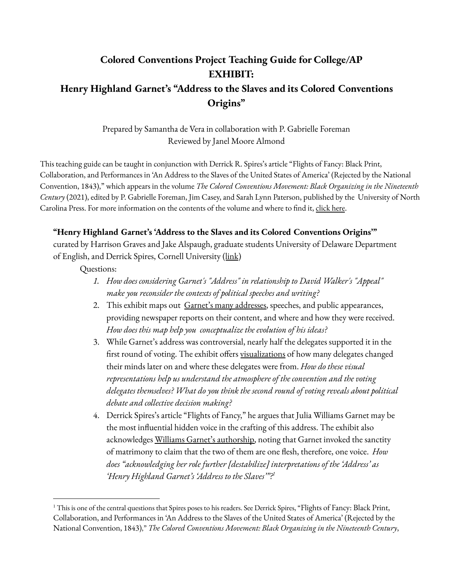## **Colored Conventions Project Teaching Guide for College/AP EXHIBIT: Henry Highland Garnet's "Address to the Slaves and its Colored Conventions Origins"**

Prepared by Samantha de Vera in collaboration with P. Gabrielle Foreman Reviewed by Janel Moore Almond

This teaching guide can be taught in conjunction with Derrick R. Spires's article "Flights of Fancy: Black Print, Collaboration, and Performances in 'An Address to the Slaves of the United States of America' (Rejected by the National Convention, 1843)," which appears in the volume *The Colored Conventions Movement: Black Organizing in the Nineteenth Century* (2021), edited by P. Gabrielle Foreman, Jim Casey, and Sarah Lynn Paterson, published by the University of North Carolina Press. For more information on the contents of the volume and where to find it, [click](https://coloredconventions.org/about/book/) here.

## **"Henry Highland Garnet's 'Address to the Slaves and its Colored Conventions Origins'"**

curated by Harrison Graves and Jake Alspaugh, graduate students University of Delaware Department of English, and Derrick Spires, Cornell University ([link](https://coloredconventions.org/garnet-address-1843/))

## Questions:

- *1. How does considering Garnet's "Address" in relationship to David Walker's "Appeal" make you reconsider the contexts of political speeches and writing?*
- 2. This exhibit maps out Garnet's many [addresses](https://coloredconventions.org/garnet-address-1843/news-coverage/other-addresses/), speeches, and public appearances, providing newspaper reports on their content, and where and how they were received. *How does this map help you conceptualize the evolution of his ideas?*
- 3. While Garnet's address was controversial, nearly half the delegates supported it in the first round of voting. The exhibit offers [visualizations](https://coloredconventions.org/garnet-address-1843/garnets-orations/1843-convention/) of how many delegates changed their minds later on and where these delegates were from. *How do these visual representations help us understand the atmosphere of the convention and the voting delegates themselves? What do you think the second round of voting reveals about political debate and collective decision making?*
- 4. Derrick Spires's article "Flights of Fancy," he argues that Julia Williams Garnet may be the most influential hidden voice in the crafting of this address. The exhibit also acknowledges Williams Garnet's [authorship,](https://coloredconventions.org/garnet-address-1843/julia-williams-garnet-author/) noting that Garnet invoked the sanctity of matrimony to claim that the two of them are one flesh, therefore, one voice. *How does "acknowledging her role further [destabilize] interpretations of the 'Address' as 'Henry Highland Garnet's 'Address to the Slaves'"? 1*

<sup>&</sup>lt;sup>1</sup> This is one of the central questions that Spires poses to his readers. See Derrick Spires, "Flights of Fancy: Black Print, Collaboration, and Performances in 'An Address to the Slaves of the United States of America' (Rejected by the National Convention, 1843)," *The Colored Conventions Movement: Black Organizing in the Nineteenth Century*,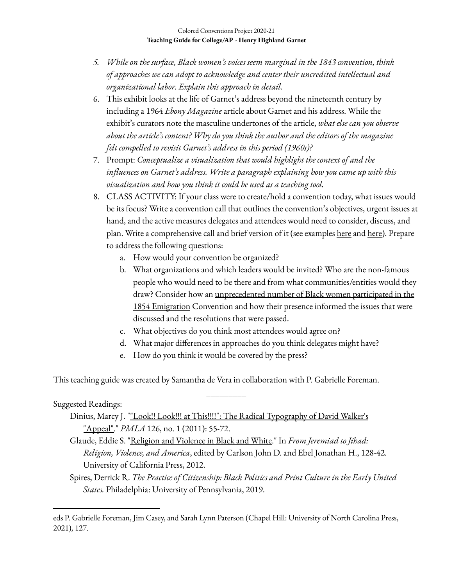- *5. While on the surface, Black women's voices seem marginal in the 1843 convention, think of approaches we can adopt to acknowledge and center their uncredited intellectual and organizational labor. Explain this approach in detail.*
- 6. This exhibit looks at the life of Garnet's address beyond the nineteenth century by including a 1964 *Ebony Magazine* article about Garnet and his address. While the exhibit's curators note the masculine undertones of the article, *what else can you observe about the article's content? Why do you think the author and the editors of the magazine felt compelled to revisit Garnet's address in this period (1960s)?*
- 7. Prompt: *Conceptualize a visualization that would highlight the context of and the influences on Garnet's address. Write a paragraph explaining how you came up with this visualization and how you think it could be used as a teaching tool.*
- 8. CLASS ACTIVITY: If your class were to create/hold a convention today, what issues would be its focus? Write a convention call that outlines the convention's objectives, urgent issues at hand, and the active measures delegates and attendees would need to consider, discuss, and plan. Write a comprehensive call and brief version of it (see examples [here](https://omeka.coloredconventions.org/items/show/596) and [here\)](https://omeka.coloredconventions.org/items/show/1656). Prepare to address the following questions:
	- a. How would your convention be organized?
	- b. What organizations and which leaders would be invited? Who are the non-famous people who would need to be there and from what communities/entities would they draw? Consider how an [unprecedented](https://coloredconventions.org/emigration-debate/women-involvement/women-delegates/) number of Black women participated in the 1854 [Emigration](https://coloredconventions.org/emigration-debate/women-involvement/women-delegates/) Convention and how their presence informed the issues that were discussed and the resolutions that were passed.
	- c. What objectives do you think most attendees would agree on?
	- d. What major differences in approaches do you think delegates might have?
	- e. How do you think it would be covered by the press?

This teaching guide was created by Samantha de Vera in collaboration with P. Gabrielle Foreman.

\_\_\_\_\_\_\_\_\_

## Suggested Readings:

- Dinius, Marcy J. ""Look!! Look!!! at This!!!!": The Radical [Typography](http://www.jstor.org/stable/41414081) of David Walker's ["Appeal".](http://www.jstor.org/stable/41414081)" *PMLA* 126, no. 1 (2011): 55-72.
- Glaude, Eddie S. ["Religion](http://www.jstor.org/stable/10.1525/j.ctt1pn5n4) and Violence in Black and White." In *From Jeremiad to Jihad: Religion, Violence, and America*, edited by Carlson John D. and Ebel Jonathan H., 128-42. University of California Press, 2012.

Spires, Derrick R. *The Practice of Citizenship: Black Politics and Print Culture in the Early United States.* Philadelphia: University of Pennsylvania, 2019.

eds P. Gabrielle Foreman, Jim Casey, and Sarah Lynn Paterson (Chapel Hill: University of North Carolina Press, 2021), 127.